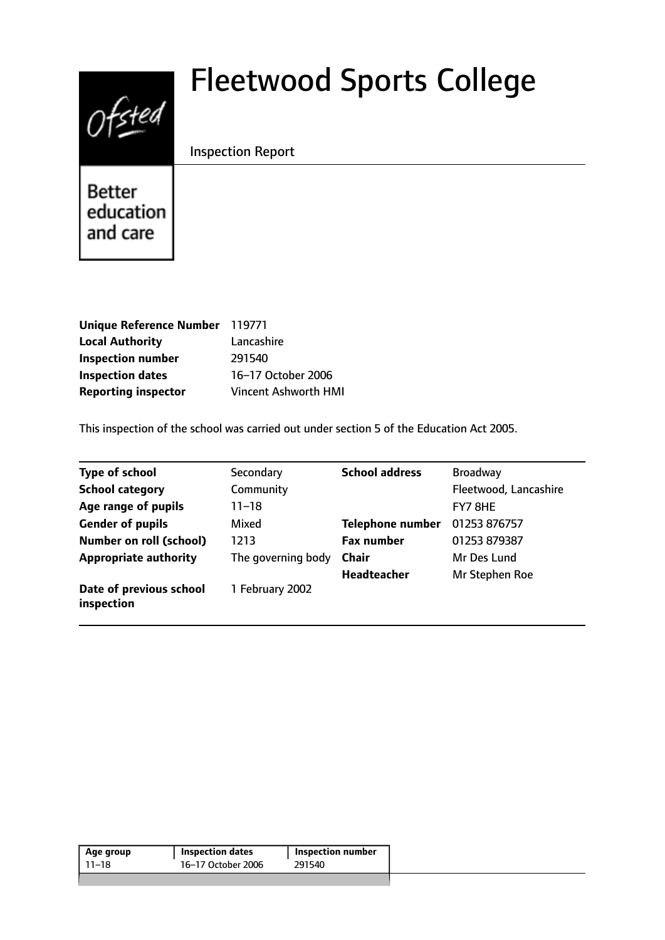# $0$ fsted

# Fleetwood Sports College

# Inspection Report

**Better** education and care

| Unique Reference Number 119771 |                             |
|--------------------------------|-----------------------------|
| <b>Local Authority</b>         | Lancashire                  |
| <b>Inspection number</b>       | 291540                      |
| <b>Inspection dates</b>        | 16-17 October 2006          |
| <b>Reporting inspector</b>     | <b>Vincent Ashworth HMI</b> |

This inspection of the school was carried out under section 5 of the Education Act 2005.

| <b>Type of school</b>                 | Secondary          | <b>School address</b>   | <b>Broadway</b>       |
|---------------------------------------|--------------------|-------------------------|-----------------------|
| <b>School category</b>                | Community          |                         | Fleetwood, Lancashire |
| Age range of pupils                   | 11–18              |                         | FY7 8HE               |
| <b>Gender of pupils</b>               | Mixed              | <b>Telephone number</b> | 01253 876757          |
| <b>Number on roll (school)</b>        | 1213               | <b>Fax number</b>       | 01253 879387          |
| <b>Appropriate authority</b>          | The governing body | <b>Chair</b>            | Mr Des Lund           |
|                                       |                    | <b>Headteacher</b>      | Mr Stephen Roe        |
| Date of previous school<br>inspection | 1 February 2002    |                         |                       |

| 16-17 October 2006<br>291540<br>11–18 | Age group | <b>Inspection dates</b> | Inspection number |
|---------------------------------------|-----------|-------------------------|-------------------|
|                                       |           |                         |                   |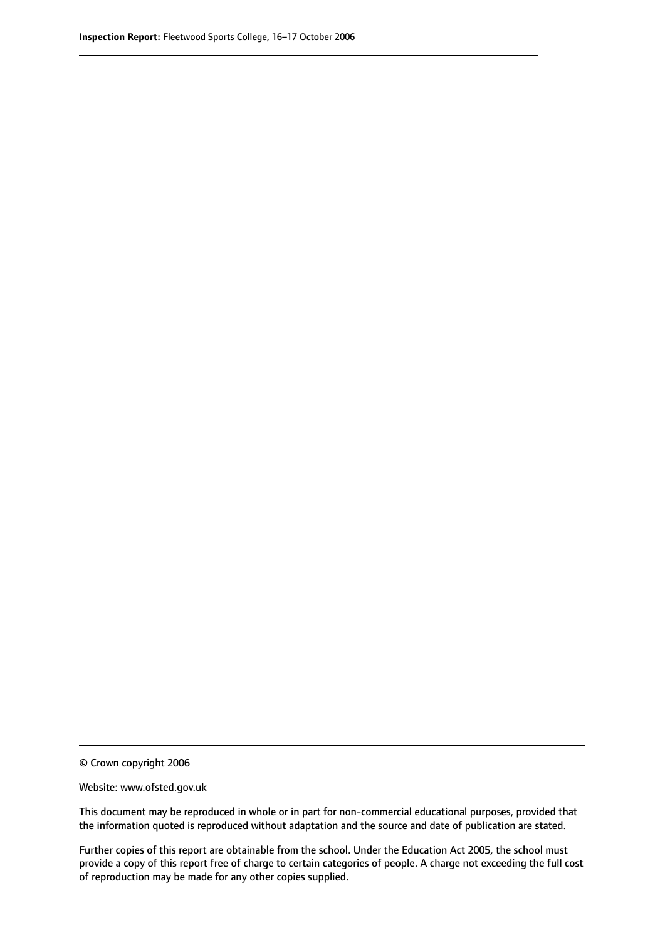© Crown copyright 2006

Website: www.ofsted.gov.uk

This document may be reproduced in whole or in part for non-commercial educational purposes, provided that the information quoted is reproduced without adaptation and the source and date of publication are stated.

Further copies of this report are obtainable from the school. Under the Education Act 2005, the school must provide a copy of this report free of charge to certain categories of people. A charge not exceeding the full cost of reproduction may be made for any other copies supplied.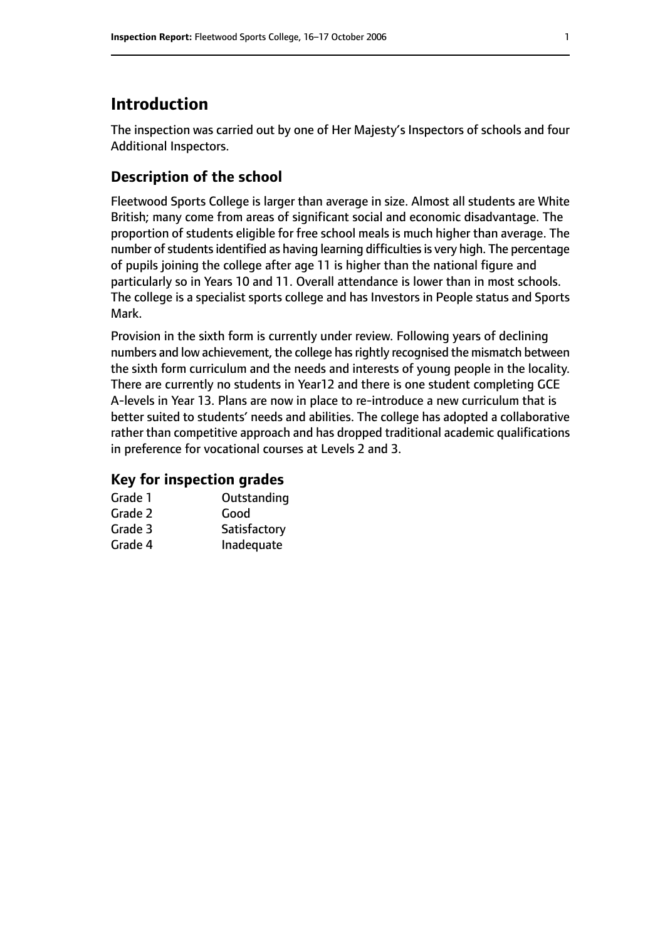# **Introduction**

The inspection was carried out by one of Her Majesty's Inspectors of schools and four Additional Inspectors.

#### **Description of the school**

Fleetwood Sports College is larger than average in size. Almost all students are White British; many come from areas of significant social and economic disadvantage. The proportion of students eligible for free school meals is much higher than average. The number of students identified as having learning difficulties is very high. The percentage of pupils joining the college after age 11 is higher than the national figure and particularly so in Years 10 and 11. Overall attendance is lower than in most schools. The college is a specialist sports college and has Investors in People status and Sports Mark.

Provision in the sixth form is currently under review. Following years of declining numbers and low achievement, the college has rightly recognised the mismatch between the sixth form curriculum and the needs and interests of young people in the locality. There are currently no students in Year12 and there is one student completing GCE A-levels in Year 13. Plans are now in place to re-introduce a new curriculum that is better suited to students' needs and abilities. The college has adopted a collaborative rather than competitive approach and has dropped traditional academic qualifications in preference for vocational courses at Levels 2 and 3.

#### **Key for inspection grades**

| Grade 1 | Outstanding  |
|---------|--------------|
| Grade 2 | Good         |
| Grade 3 | Satisfactory |
| Grade 4 | Inadequate   |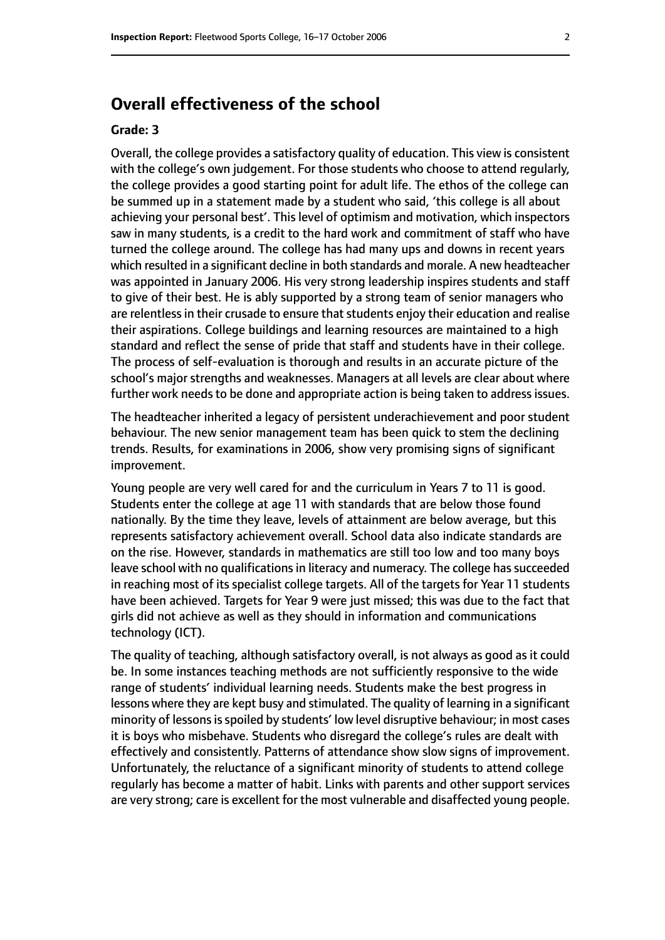# **Overall effectiveness of the school**

#### **Grade: 3**

Overall, the college provides a satisfactory quality of education. This view is consistent with the college's own judgement. For those students who choose to attend regularly, the college provides a good starting point for adult life. The ethos of the college can be summed up in a statement made by a student who said, 'this college is all about achieving your personal best'. This level of optimism and motivation, which inspectors saw in many students, is a credit to the hard work and commitment of staff who have turned the college around. The college has had many ups and downs in recent years which resulted in a significant decline in both standards and morale. A new headteacher was appointed in January 2006. His very strong leadership inspires students and staff to give of their best. He is ably supported by a strong team of senior managers who are relentless in their crusade to ensure that students enjoy their education and realise their aspirations. College buildings and learning resources are maintained to a high standard and reflect the sense of pride that staff and students have in their college. The process of self-evaluation is thorough and results in an accurate picture of the school's major strengths and weaknesses. Managers at all levels are clear about where further work needs to be done and appropriate action is being taken to address issues.

The headteacher inherited a legacy of persistent underachievement and poor student behaviour. The new senior management team has been quick to stem the declining trends. Results, for examinations in 2006, show very promising signs of significant improvement.

Young people are very well cared for and the curriculum in Years 7 to 11 is good. Students enter the college at age 11 with standards that are below those found nationally. By the time they leave, levels of attainment are below average, but this represents satisfactory achievement overall. School data also indicate standards are on the rise. However, standards in mathematics are still too low and too many boys leave school with no qualifications in literacy and numeracy. The college has succeeded in reaching most of its specialist college targets. All of the targets for Year 11 students have been achieved. Targets for Year 9 were just missed; this was due to the fact that girls did not achieve as well as they should in information and communications technology (ICT).

The quality of teaching, although satisfactory overall, is not always as good as it could be. In some instances teaching methods are not sufficiently responsive to the wide range of students' individual learning needs. Students make the best progress in lessons where they are kept busy and stimulated. The quality of learning in a significant minority of lessons is spoiled by students' low level disruptive behaviour; in most cases it is boys who misbehave. Students who disregard the college's rules are dealt with effectively and consistently. Patterns of attendance show slow signs of improvement. Unfortunately, the reluctance of a significant minority of students to attend college regularly has become a matter of habit. Links with parents and other support services are very strong; care is excellent for the most vulnerable and disaffected young people.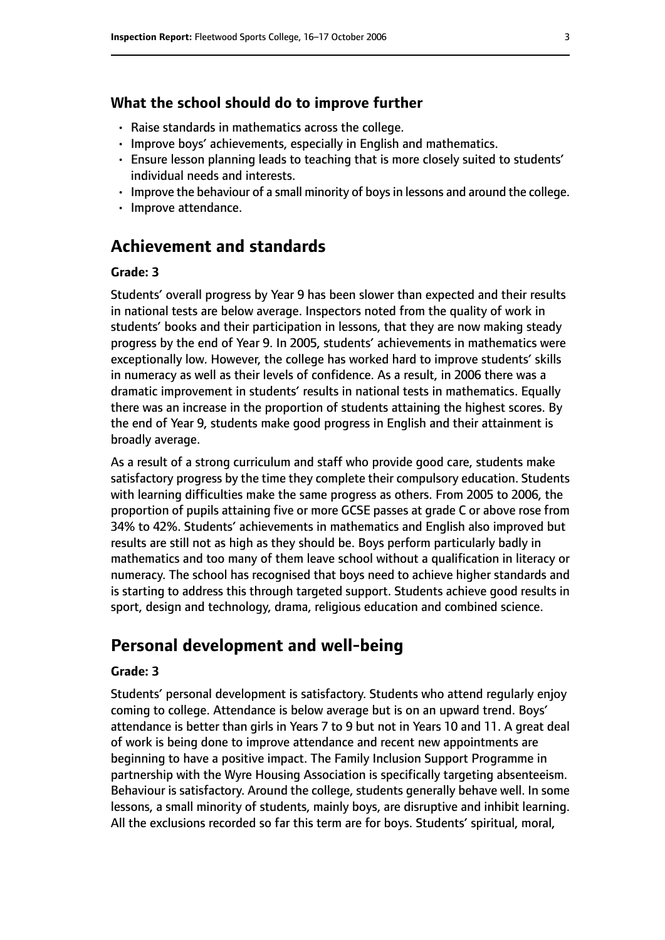#### **What the school should do to improve further**

- Raise standards in mathematics across the college.
- Improve boys' achievements, especially in English and mathematics.
- Ensure lesson planning leads to teaching that is more closely suited to students' individual needs and interests.
- Improve the behaviour of a small minority of boys in lessons and around the college.
- Improve attendance.

### **Achievement and standards**

#### **Grade: 3**

Students' overall progress by Year 9 has been slower than expected and their results in national tests are below average. Inspectors noted from the quality of work in students' books and their participation in lessons, that they are now making steady progress by the end of Year 9. In 2005, students' achievements in mathematics were exceptionally low. However, the college has worked hard to improve students' skills in numeracy as well as their levels of confidence. As a result, in 2006 there was a dramatic improvement in students' results in national tests in mathematics. Equally there was an increase in the proportion of students attaining the highest scores. By the end of Year 9, students make good progress in English and their attainment is broadly average.

As a result of a strong curriculum and staff who provide good care, students make satisfactory progress by the time they complete their compulsory education. Students with learning difficulties make the same progress as others. From 2005 to 2006, the proportion of pupils attaining five or more GCSE passes at grade C or above rose from 34% to 42%. Students' achievements in mathematics and English also improved but results are still not as high as they should be. Boys perform particularly badly in mathematics and too many of them leave school without a qualification in literacy or numeracy. The school has recognised that boys need to achieve higher standards and is starting to address this through targeted support. Students achieve good results in sport, design and technology, drama, religious education and combined science.

#### **Personal development and well-being**

#### **Grade: 3**

Students' personal development is satisfactory. Students who attend regularly enjoy coming to college. Attendance is below average but is on an upward trend. Boys' attendance is better than girls in Years 7 to 9 but not in Years 10 and 11. A great deal of work is being done to improve attendance and recent new appointments are beginning to have a positive impact. The Family Inclusion Support Programme in partnership with the Wyre Housing Association is specifically targeting absenteeism. Behaviour is satisfactory. Around the college, students generally behave well. In some lessons, a small minority of students, mainly boys, are disruptive and inhibit learning. All the exclusions recorded so far this term are for boys. Students' spiritual, moral,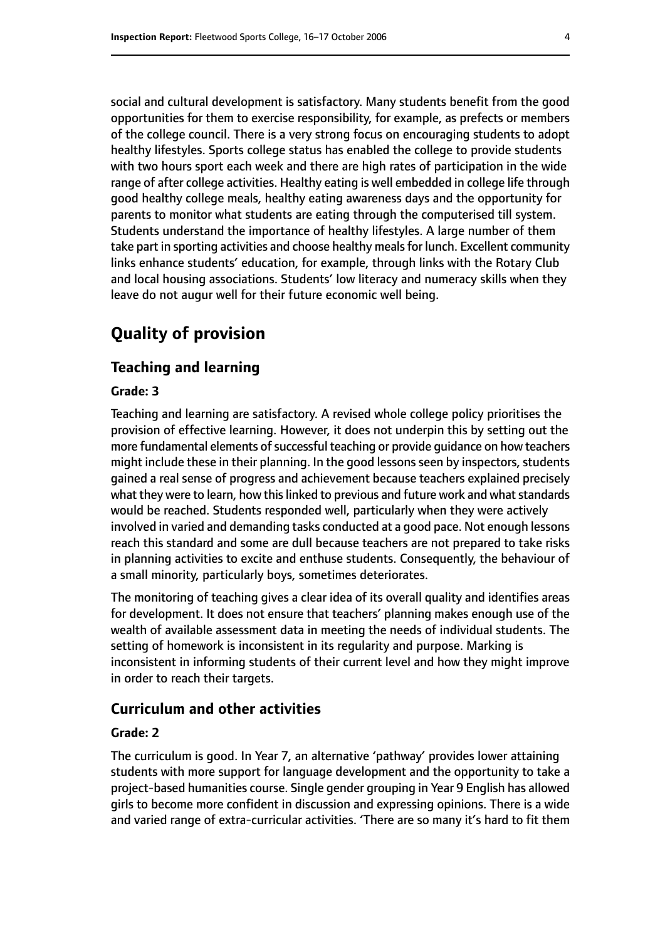social and cultural development is satisfactory. Many students benefit from the good opportunities for them to exercise responsibility, for example, as prefects or members of the college council. There is a very strong focus on encouraging students to adopt healthy lifestyles. Sports college status has enabled the college to provide students with two hours sport each week and there are high rates of participation in the wide range of after college activities. Healthy eating is well embedded in college life through good healthy college meals, healthy eating awareness days and the opportunity for parents to monitor what students are eating through the computerised till system. Students understand the importance of healthy lifestyles. A large number of them take part in sporting activities and choose healthy meals for lunch. Excellent community links enhance students' education, for example, through links with the Rotary Club and local housing associations. Students' low literacy and numeracy skills when they leave do not augur well for their future economic well being.

# **Quality of provision**

#### **Teaching and learning**

#### **Grade: 3**

Teaching and learning are satisfactory. A revised whole college policy prioritises the provision of effective learning. However, it does not underpin this by setting out the more fundamental elements of successful teaching or provide guidance on how teachers might include these in their planning. In the good lessons seen by inspectors, students gained a real sense of progress and achievement because teachers explained precisely what they were to learn, how this linked to previous and future work and what standards would be reached. Students responded well, particularly when they were actively involved in varied and demanding tasks conducted at a good pace. Not enough lessons reach this standard and some are dull because teachers are not prepared to take risks in planning activities to excite and enthuse students. Consequently, the behaviour of a small minority, particularly boys, sometimes deteriorates.

The monitoring of teaching gives a clear idea of its overall quality and identifies areas for development. It does not ensure that teachers' planning makes enough use of the wealth of available assessment data in meeting the needs of individual students. The setting of homework is inconsistent in its regularity and purpose. Marking is inconsistent in informing students of their current level and how they might improve in order to reach their targets.

#### **Curriculum and other activities**

#### **Grade: 2**

The curriculum is good. In Year 7, an alternative 'pathway' provides lower attaining students with more support for language development and the opportunity to take a project-based humanities course. Single gender grouping in Year 9 English has allowed girls to become more confident in discussion and expressing opinions. There is a wide and varied range of extra-curricular activities. 'There are so many it's hard to fit them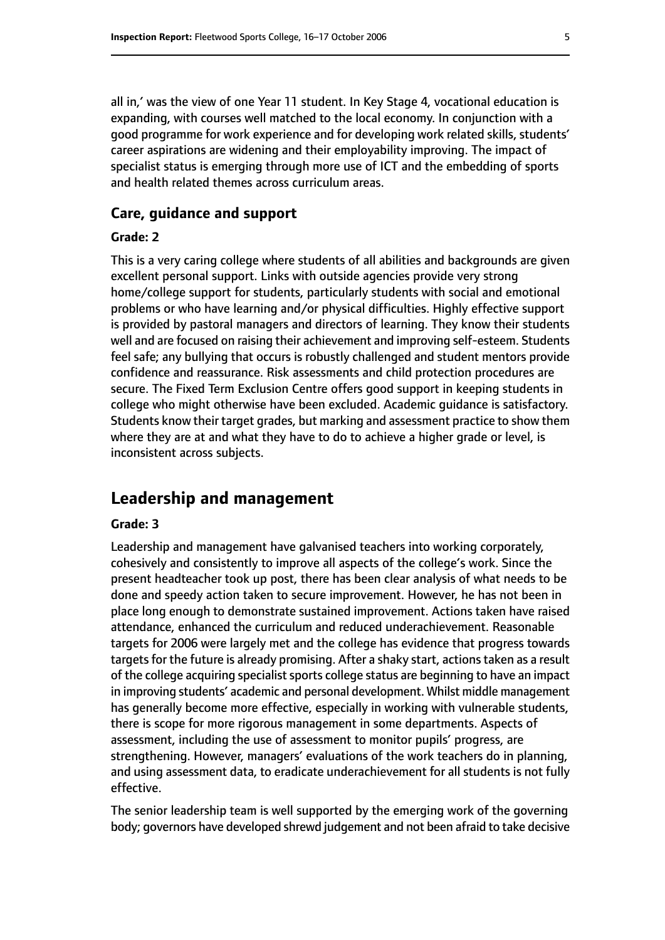all in,' was the view of one Year 11 student. In Key Stage 4, vocational education is expanding, with courses well matched to the local economy. In conjunction with a good programme for work experience and for developing work related skills, students' career aspirations are widening and their employability improving. The impact of specialist status is emerging through more use of ICT and the embedding of sports and health related themes across curriculum areas.

#### **Care, guidance and support**

#### **Grade: 2**

This is a very caring college where students of all abilities and backgrounds are given excellent personal support. Links with outside agencies provide very strong home/college support for students, particularly students with social and emotional problems or who have learning and/or physical difficulties. Highly effective support is provided by pastoral managers and directors of learning. They know their students well and are focused on raising their achievement and improving self-esteem. Students feel safe; any bullying that occurs is robustly challenged and student mentors provide confidence and reassurance. Risk assessments and child protection procedures are secure. The Fixed Term Exclusion Centre offers good support in keeping students in college who might otherwise have been excluded. Academic guidance is satisfactory. Students know their target grades, but marking and assessment practice to show them where they are at and what they have to do to achieve a higher grade or level, is inconsistent across subjects.

#### **Leadership and management**

#### **Grade: 3**

Leadership and management have galvanised teachers into working corporately, cohesively and consistently to improve all aspects of the college's work. Since the present headteacher took up post, there has been clear analysis of what needs to be done and speedy action taken to secure improvement. However, he has not been in place long enough to demonstrate sustained improvement. Actions taken have raised attendance, enhanced the curriculum and reduced underachievement. Reasonable targets for 2006 were largely met and the college has evidence that progress towards targets for the future is already promising. After a shaky start, actions taken as a result of the college acquiring specialist sports college status are beginning to have an impact in improving students' academic and personal development. Whilst middle management has generally become more effective, especially in working with vulnerable students, there is scope for more rigorous management in some departments. Aspects of assessment, including the use of assessment to monitor pupils' progress, are strengthening. However, managers' evaluations of the work teachers do in planning, and using assessment data, to eradicate underachievement for all students is not fully effective.

The senior leadership team is well supported by the emerging work of the governing body; governors have developed shrewd judgement and not been afraid to take decisive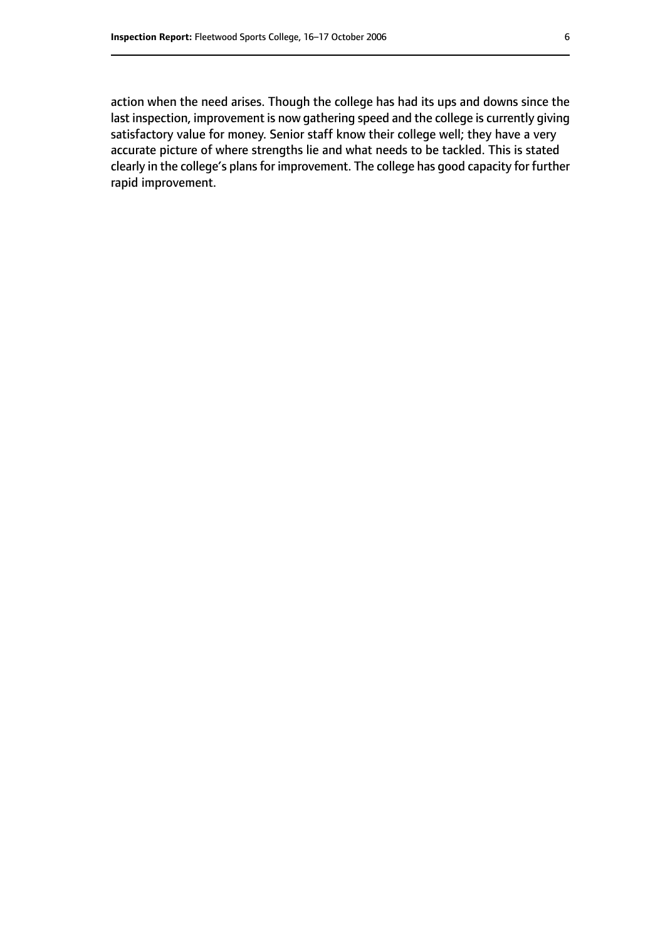action when the need arises. Though the college has had its ups and downs since the last inspection, improvement is now gathering speed and the college is currently giving satisfactory value for money. Senior staff know their college well; they have a very accurate picture of where strengths lie and what needs to be tackled. This is stated clearly in the college's plans for improvement. The college has good capacity for further rapid improvement.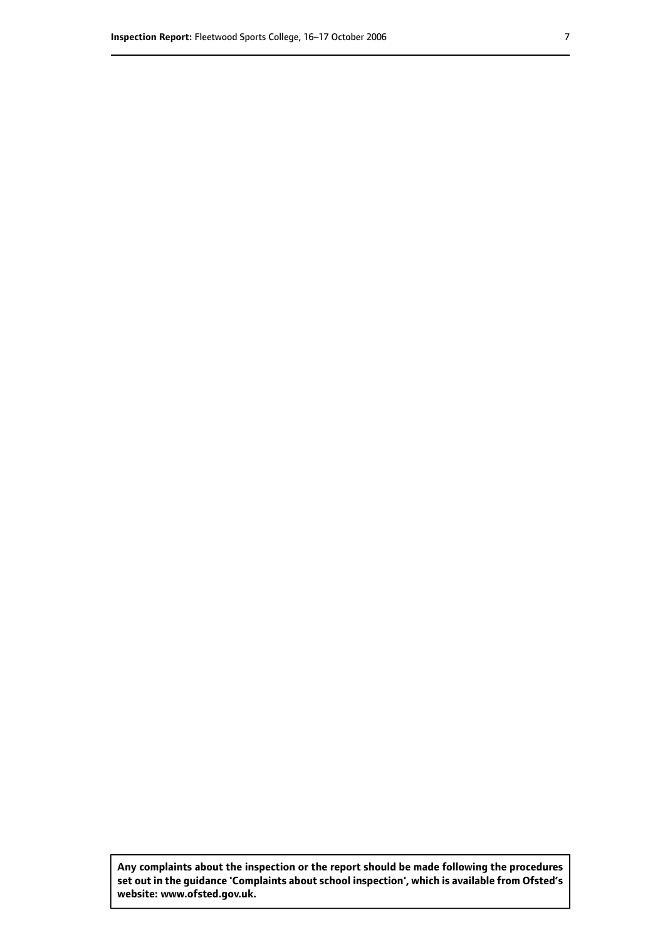**Any complaints about the inspection or the report should be made following the procedures set out inthe guidance 'Complaints about school inspection', whichis available from Ofsted's website: www.ofsted.gov.uk.**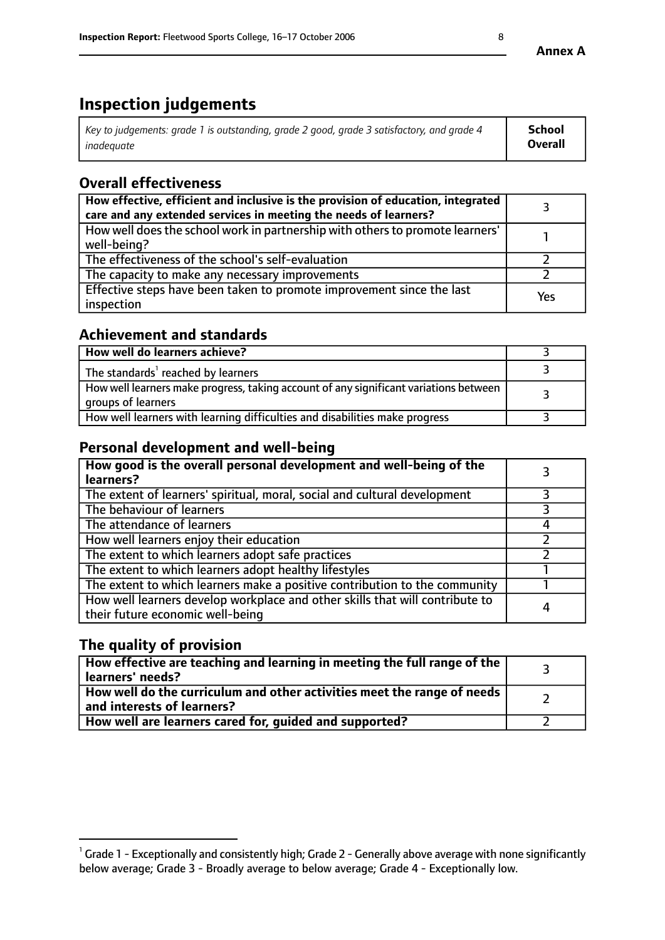# **Inspection judgements**

| $^{\circ}$ Key to judgements: grade 1 is outstanding, grade 2 good, grade 3 satisfactory, and grade 4 $^{\circ}$ | School         |
|------------------------------------------------------------------------------------------------------------------|----------------|
| inadequate                                                                                                       | <b>Overall</b> |

# **Overall effectiveness**

| How effective, efficient and inclusive is the provision of education, integrated<br>care and any extended services in meeting the needs of learners? |     |
|------------------------------------------------------------------------------------------------------------------------------------------------------|-----|
| How well does the school work in partnership with others to promote learners'<br>well-being?                                                         |     |
| The effectiveness of the school's self-evaluation                                                                                                    |     |
| The capacity to make any necessary improvements                                                                                                      |     |
| Effective steps have been taken to promote improvement since the last<br>inspection                                                                  | Yes |

#### **Achievement and standards**

| How well do learners achieve?                                                                               |  |
|-------------------------------------------------------------------------------------------------------------|--|
| The standards <sup>1</sup> reached by learners                                                              |  |
| How well learners make progress, taking account of any significant variations between<br>groups of learners |  |
| How well learners with learning difficulties and disabilities make progress                                 |  |

## **Personal development and well-being**

| How good is the overall personal development and well-being of the<br>learners?                                  |   |
|------------------------------------------------------------------------------------------------------------------|---|
| The extent of learners' spiritual, moral, social and cultural development                                        |   |
| The behaviour of learners                                                                                        |   |
| The attendance of learners                                                                                       |   |
| How well learners enjoy their education                                                                          |   |
| The extent to which learners adopt safe practices                                                                |   |
| The extent to which learners adopt healthy lifestyles                                                            |   |
| The extent to which learners make a positive contribution to the community                                       |   |
| How well learners develop workplace and other skills that will contribute to<br>their future economic well-being | 4 |

# **The quality of provision**

| $\mid$ How effective are teaching and learning in meeting the full range of the $\mid$<br>learners' needs? |  |
|------------------------------------------------------------------------------------------------------------|--|
| How well do the curriculum and other activities meet the range of needs<br>and interests of learners?      |  |
| How well are learners cared for, guided and supported?                                                     |  |

 $^1$  Grade 1 - Exceptionally and consistently high; Grade 2 - Generally above average with none significantly below average; Grade 3 - Broadly average to below average; Grade 4 - Exceptionally low.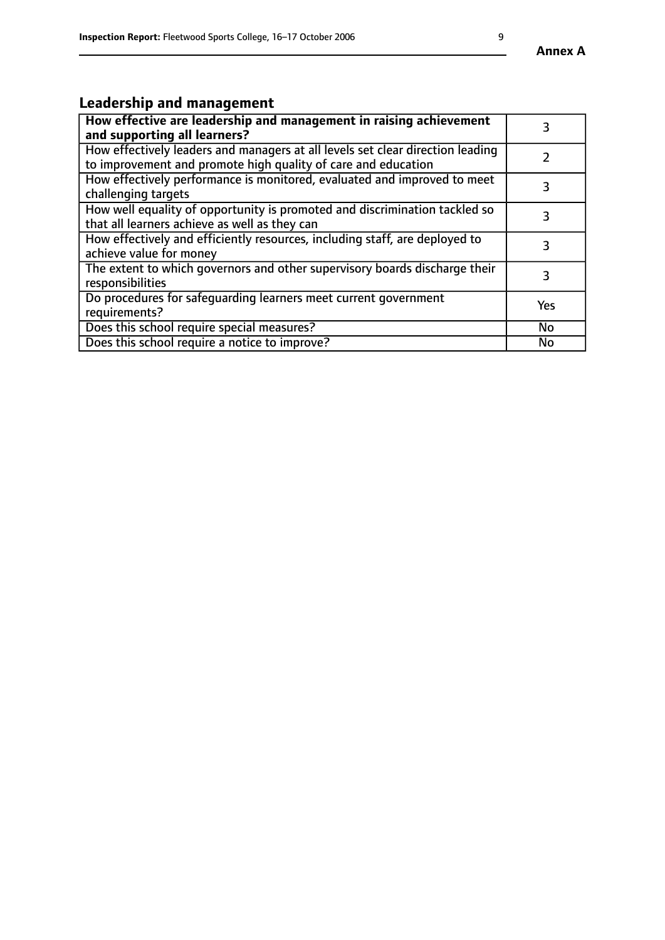#### **Annex A**

# **Leadership and management**

| How effective are leadership and management in raising achievement<br>and supporting all learners?                                              |           |
|-------------------------------------------------------------------------------------------------------------------------------------------------|-----------|
| How effectively leaders and managers at all levels set clear direction leading<br>to improvement and promote high quality of care and education |           |
| How effectively performance is monitored, evaluated and improved to meet<br>challenging targets                                                 |           |
| How well equality of opportunity is promoted and discrimination tackled so<br>that all learners achieve as well as they can                     |           |
| How effectively and efficiently resources, including staff, are deployed to<br>achieve value for money                                          | З         |
| The extent to which governors and other supervisory boards discharge their<br>responsibilities                                                  |           |
| Do procedures for safequarding learners meet current government<br>requirements?                                                                | Yes       |
| Does this school require special measures?                                                                                                      | <b>No</b> |
| Does this school require a notice to improve?                                                                                                   | No        |